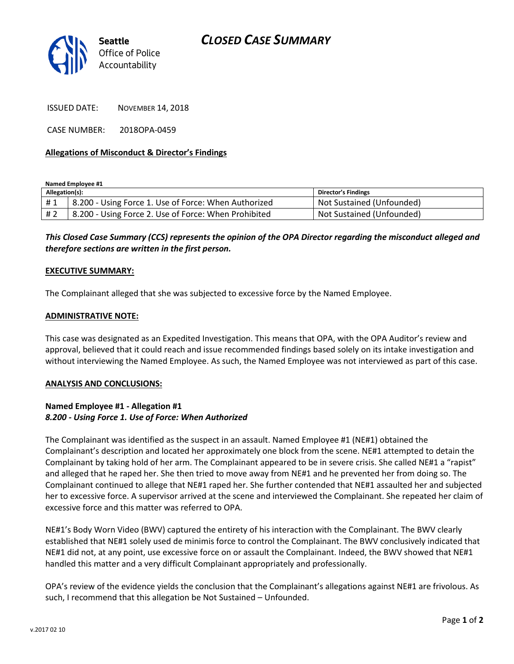

ISSUED DATE: NOVEMBER 14, 2018

CASE NUMBER: 2018OPA-0459

## **Allegations of Misconduct & Director's Findings**

**Named Employee #1**

| Allegation(s): |                                                            | <b>Director's Findings</b> |
|----------------|------------------------------------------------------------|----------------------------|
|                | #1   8.200 - Using Force 1. Use of Force: When Authorized  | Not Sustained (Unfounded)  |
|                | # 2   8.200 - Using Force 2. Use of Force: When Prohibited | Not Sustained (Unfounded)  |

*This Closed Case Summary (CCS) represents the opinion of the OPA Director regarding the misconduct alleged and therefore sections are written in the first person.* 

#### **EXECUTIVE SUMMARY:**

The Complainant alleged that she was subjected to excessive force by the Named Employee.

## **ADMINISTRATIVE NOTE:**

This case was designated as an Expedited Investigation. This means that OPA, with the OPA Auditor's review and approval, believed that it could reach and issue recommended findings based solely on its intake investigation and without interviewing the Named Employee. As such, the Named Employee was not interviewed as part of this case.

#### **ANALYSIS AND CONCLUSIONS:**

# **Named Employee #1 - Allegation #1** *8.200 - Using Force 1. Use of Force: When Authorized*

The Complainant was identified as the suspect in an assault. Named Employee #1 (NE#1) obtained the Complainant's description and located her approximately one block from the scene. NE#1 attempted to detain the Complainant by taking hold of her arm. The Complainant appeared to be in severe crisis. She called NE#1 a "rapist" and alleged that he raped her. She then tried to move away from NE#1 and he prevented her from doing so. The Complainant continued to allege that NE#1 raped her. She further contended that NE#1 assaulted her and subjected her to excessive force. A supervisor arrived at the scene and interviewed the Complainant. She repeated her claim of excessive force and this matter was referred to OPA.

NE#1's Body Worn Video (BWV) captured the entirety of his interaction with the Complainant. The BWV clearly established that NE#1 solely used de minimis force to control the Complainant. The BWV conclusively indicated that NE#1 did not, at any point, use excessive force on or assault the Complainant. Indeed, the BWV showed that NE#1 handled this matter and a very difficult Complainant appropriately and professionally.

OPA's review of the evidence yields the conclusion that the Complainant's allegations against NE#1 are frivolous. As such, I recommend that this allegation be Not Sustained – Unfounded.